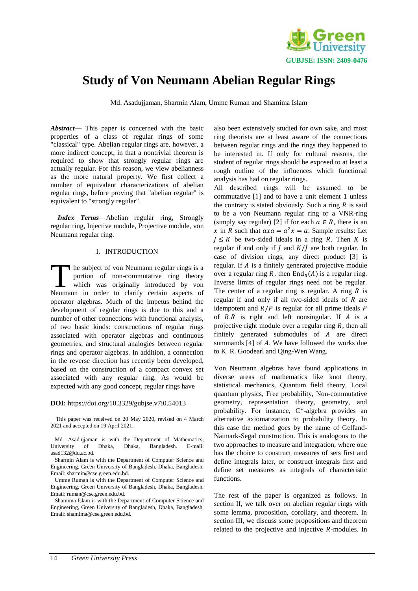

# **Study of Von Neumann Abelian Regular Rings**

Md. Asadujjaman, Sharmin Alam, Umme Ruman and Shamima Islam

*Abstract*— This paper is concerned with the basic properties of a class of regular rings of some "classical" type. Abelian regular rings are, however, a more indirect concept, in that a nontrivial theorem is required to show that strongly regular rings are actually regular. For this reason, we view abelianness as the more natural property. We first collect a number of equivalent characterizations of abelian regular rings, before proving that "abelian regular" is equivalent to "strongly regular".

*Index Terms*—Abelian regular ring, Strongly regular ring, Injective module, Projective module, von Neumann regular ring.

# I. INTRODUCTION

he subject of von Neumann regular rings is a portion of non-commutative ring theory which was originally introduced by von The subject of von Neumann regular rings is a portion of non-commutative ring theory which was originally introduced by von Neumann in order to clarify certain aspects of operator algebras. Much of the impetus behind the development of regular rings is due to this and a number of other connections with functional analysis, of two basic kinds: constructions of regular rings associated with operator algebras and continuous geometries, and structural analogies between regular rings and operator algebras. In addition, a connection in the reverse direction has recently been developed, based on the construction of a compact convex set associated with any regular ring. As would be expected with any good concept, regular rings have

## **DOI:** https://doi.org/10.3329/gubjse.v7i0.54013

 This paper was received on 20 May 2020, revised on 4 March 2021 and accepted on 19 April 2021.

 Md. Asadujjaman is with the Department of Mathematics, University of Dhaka, Dhaka, Bangladesh. E-mail: [asad132@du.ac.bd.](mailto:asad132@du.ac.bd)

 Sharmin Alam is with the Department of Computer Science and Engineering, Green University of Bangladesh, Dhaka, Bangladesh. Email[: sharmin@cse.green.edu.bd.](mailto:sharmin@cse.green.edu.bd)

 Umme Ruman is with the Department of Computer Science and Engineering, Green University of Bangladesh, Dhaka, Bangladesh. Email[: ruman@cse.green.edu.bd.](mailto:ruman@cse.green.edu.bd)

 Shamima Islam is with the Department of Computer Science and Engineering, Green University of Bangladesh, Dhaka, Bangladesh. Email[: shamima@cse.green.edu.bd.](mailto:shamima@cse.green.edu.bd)

also been extensively studied for own sake, and most ring theorists are at least aware of the connections between regular rings and the rings they happened to be interested in. If only for cultural reasons, the student of regular rings should be exposed to at least a rough outline of the influences which functional analysis has had on regular rings.

All described rings will be assumed to be commutative [1] and to have a unit element 1 unless the contrary is stated obviously. Such a ring  $R$  is said to be a von Neumann regular ring or a VNR-ring (simply say regular) [2] if for each  $a \in R$ , there is an x in R such that  $axa = a^2x = a$ . Sample results: Let  $I \leq K$  be two-sided ideals in a ring R. Then K is regular if and only if  $J$  and  $K/J$  are both regular. In case of division rings, any direct product [3] is regular. If  $A$  is a finitely generated projective module over a regular ring R, then  $\text{End}_R(A)$  is a regular ring. Inverse limits of regular rings need not be regular. The center of a regular ring is regular. A ring  $R$  is regular if and only if all two-sided ideals of  $R$  are idempotent and  $R/P$  is regular for all prime ideals  $P$ of  $R.R$  is right and left nonsingular. If  $A$  is a projective right module over a regular ring  $R$ , then all finitely generated submodules of  $A$  are direct summands  $[4]$  of  $A$ . We have followed the works due to K. R. Goodearl and Qing-Wen Wang.

Von Neumann algebras have found applications in diverse areas of mathematics like knot theory, statistical mechanics, Quantum field theory, Local quantum physics, Free probability, Non-commutative geometry, representation theory, geometry, and probability. For instance, C\*-algebra provides an alternative axiomatization to probability theory. In this case the method goes by the name of Gelfand-Naimark-Segal construction. This is analogous to the two approaches to measure and integration, where one has the choice to construct measures of sets first and define integrals later, or construct integrals first and define set measures as integrals of characteristic functions.

The rest of the paper is organized as follows. In section II, we talk over on abelian regular rings with some lemma, proposition, corollary, and theorem. In section III, we discuss some propositions and theorem related to the projective and injective  $R$ -modules. In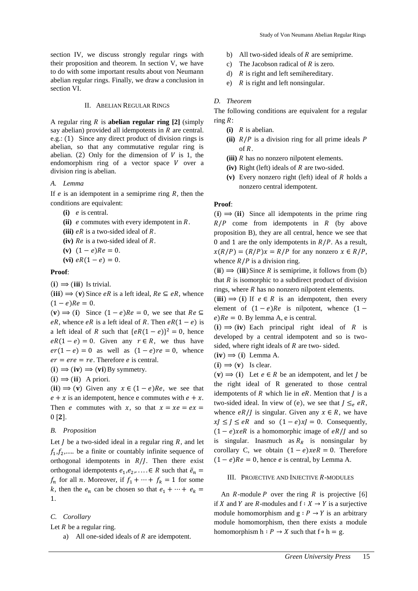section IV, we discuss strongly regular rings with their proposition and theorem. In section V, we have to do with some important results about von Neumann abelian regular rings. Finally, we draw a conclusion in section VI.

## II. ABELIAN REGULAR RINGS

A regular ring  $R$  is **abelian regular ring**  $[2]$  (simply say abelian) provided all idempotents in  $R$  are central. e.g.: (1) Since any direct product of division rings is abelian, so that any commutative regular ring is abelian. (2) Only for the dimension of  $V$  is 1, the endomorphism ring of a vector space  $V$  over a division ring is abelian.

## *A. Lemma*

If  $e$  is an idempotent in a semiprime ring  $R$ , then the conditions are equivalent:

- (i) *e* is central.
- $(iii)$  *e* commutes with every idempotent in  $R$ .
- (iii)  $eR$  is a two-sided ideal of  $R$ .
- **(iv)**  $Re$  is a two-sided ideal of  $R$ .
- $(v)$   $(1-e)Re = 0.$
- (vi)  $eR(1 e) = 0$ .

# **Proof**:

 $(i) \Rightarrow (iii)$  Is trivial.

(iii)  $\Rightarrow$  (v) Since *eR* is a left ideal,  $Re \subseteq eR$ , whence  $(1 - e)$  $Re = 0$ .

 $(v) \implies (i)$  Since  $(1 - e)Re = 0$ , we see that  $Re \subseteq$ eR, whence eR is a left ideal of R. Then  $eR(1 - e)$  is a left ideal of R such that  $\{eR(1 - e)\}^2 = 0$ , hence  $eR(1 - e) = 0$ . Given any  $r \in R$ , we thus have  $er(1 - e) = 0$  as well as  $(1 - e)re = 0$ , whence  $er = ere = re$ . Therefore *e* is central.

- $(i) \Rightarrow (iv) \Rightarrow (vi)$ By symmetry.
- $(i) \Rightarrow (ii)$  A priori.

(ii)  $\Rightarrow$  (v) Given any  $x \in (1 - e)Re$ , we see that  $e + x$  is an idempotent, hence e commutes with  $e + x$ . Then *e* commutes with x, so that  $x = xe = ex$  $0 [2]$ .

## *B. Proposition*

Let  $J$  be a two-sided ideal in a regular ring  $R$ , and let  $f_1, f_2, \dots$  be a finite or countably infinite sequence of orthogonal idempotents in  $R/J$ . Then there exist orthogonal idempotents  $e_1, e_2, \ldots \in R$  such that  $\bar{e}_n =$  $f_n$  for all *n*. Moreover, if  $f_1 + \cdots + f_k = 1$  for some k, then the  $e_n$  can be chosen so that  $e_1 + \cdots + e_k =$ 1.

# *C. Corollary*

Let  $R$  be a regular ring.

a) All one-sided ideals of  $R$  are idempotent.

- b) All two-sided ideals of  $R$  are semiprime.
- c) The Jacobson radical of  $R$  is zero.
- d)  $R$  is right and left semihereditary.
- e)  $R$  is right and left nonsingular.

## *D. Theorem*

The following conditions are equivalent for a regular ring  $R$ :

- $\mathbf{f}$ **i**  $\mathbf{R}$  is abelian.
- (ii)  $R/P$  is a division ring for all prime ideals  $P$  $\bigcap$   $R$
- $(iii)$   $R$  has no nonzero nilpotent elements.
- $(iv)$  Right (left) ideals of  $R$  are two-sided.
- (v) Every nonzero right (left) ideal of  $R$  holds a nonzero central idempotent.

#### **Proof**:

 $(i) \implies (ii)$  Since all idempotents in the prime ring  $R/P$  come from idempotents in  $R$  (by above proposition B), they are all central, hence we see that 0 and 1 are the only idempotents in  $R/P$ . As a result,  $x(R/P) = (R/P)x = R/P$  for any nonzero  $x \in R/P$ , whence  $R/P$  is a division ring.

 $(ii) \Rightarrow (iii)$ Since R is semiprime, it follows from (b) that  $R$  is isomorphic to a subdirect product of division rings, where  $R$  has no nonzero nilpotent elements.

(iii)  $\Rightarrow$  (i) If  $e \in R$  is an idempotent, then every element of  $(1 - e)Re$  is nilpotent, whence  $(1$  $e)$ Re = 0. By lemma A, e is central.

 $(i) \implies (iv)$  Each principal right ideal of R is developed by a central idempotent and so is twosided, where right ideals of  $R$  are two-sided.

- $(iv) \Rightarrow (i)$  Lemma A.
- $(i) \implies (v)$  Is clear.

 $(v) \implies (i)$  Let  $e \in R$  be an idempotent, and let *J* be the right ideal of R generated to those central idempotents of  $R$  which lie in  $eR$ . Mention that  $I$  is a two-sided ideal. In view of (e), we see that  $J \leq_e eR$ , whence  $eR/J$  is singular. Given any  $x \in R$ , we have  $xJ \leq J \leq eR$  and so  $(1 - e)xJ = 0$ . Consequently,  $(1 – e)$ xeR is a homomorphic image of eR/*J* and so is singular. Inasmuch as  $R_R$  is nonsingular by corollary C, we obtain  $(1 - e) \times eR = 0$ . Therefore  $(1 - e)Re = 0$ , hence *e* is central, by Lemma A.

#### III. PROJECTIVE AND INJECTIVE  $R$ -MODULES

An  $R$ -module  $P$  over the ring  $R$  is projective [6] if X and Y are R-modules and  $f : X \to Y$  is a surjective module homomorphism and  $g : P \to Y$  is an arbitrary module homomorphism, then there exists a module homomorphism  $h : P \to X$  such that  $f \circ h = g$ .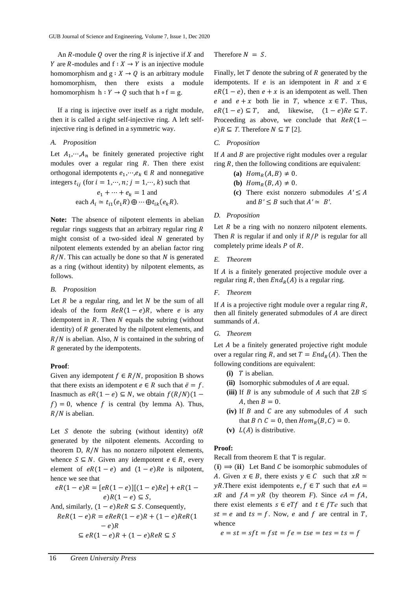An  $R$ -module  $Q$  over the ring  $R$  is injective if  $X$  and *Y* are *R*-modules and  $f : X \to Y$  is an injective module homomorphism and  $g : X \to Q$  is an arbitrary module homomorphism, then there exists a module homomorphism  $h : Y \to Q$  such that  $h \circ f = g$ .

If a ring is injective over itself as a right module, then it is called a right self-injective ring. A left selfinjective ring is defined in a symmetric way.

# *A. Proposition*

Let  $A_1, \dots, A_n$  be finitely generated projective right modules over a regular ring  $R$ . Then there exist orthogonal idempotents  $e_1, \dots, e_k \in R$  and nonnegative integers  $t_{ij}$  (for  $i = 1, \dots, n$ ;  $j = 1, \dots, k$ ) such that

$$
e_1 + \dots + e_k = 1
$$
 and  
each  $A_i \simeq t_{i1}(e_1 R) \oplus \dots \oplus t_{ik}(e_k R)$ .

**Note:** The absence of nilpotent elements in abelian regular rings suggests that an arbitrary regular ring R might consist of a two-sided ideal  $N$  generated by nilpotent elements extended by an abelian factor ring  $R/N$ . This can actually be done so that N is generated as a ring (without identity) by nilpotent elements, as follows.

## *B. Proposition*

Let  $R$  be a regular ring, and let  $N$  be the sum of all ideals of the form  $ReR(1 - e)R$ , where *e* is any idempotent in  $R$ . Then  $N$  equals the subring (without identity) of  $R$  generated by the nilpotent elements, and  $R/N$  is abelian. Also, N is contained in the subring of R generated by the idempotents.

# **Proof**:

Given any idempotent  $f \in R/N$ , proposition B shows that there exists an idempotent  $e \in R$  such that  $\bar{e} = f$ . Inasmuch as  $eR(1 - e) \subseteq N$ , we obtain  $f(R/N)(1 - e)$  $f$ ) = 0, whence f is central (by lemma A). Thus,  $R/N$  is abelian.

Let  $S$  denote the subring (without identity) of  $R$ generated by the nilpotent elements. According to theorem D,  $R/N$  has no nonzero nilpotent elements, whence  $S \subseteq N$ . Given any idempotent  $e \in R$ , every element of  $eR(1 - e)$  and  $(1 - e)Re$  is nilpotent, hence we see that

$$
eR(1-e)R = [eR(1-e)][(1-e)Re] + eR(1-e)
$$
  
\n
$$
e)R(1-e) \subseteq S,
$$
  
\nAnd, similarly,  $(1-e)ReR \subseteq S$ . Consequently,  
\n
$$
ReR(1-e)R = eReR(1-e)R + (1-e)ReR(1-e)
$$
  
\n
$$
-e)R
$$
  
\n
$$
\subseteq eR(1-e)R + (1-e)ReR \subseteq S
$$

Therefore  $N = S$ .

Finally, let  $T$  denote the subring of  $R$  generated by the idempotents. If *e* is an idempotent in *R* and  $x \in$  $eR(1 - e)$ , then  $e + x$  is an idempotent as well. Then e and  $e + x$  both lie in T, whence  $x \in T$ . Thus,  $eR(1 - e) \subseteq T$ , and, likewise,  $(1 - e)Re \subseteq T$ . Proceeding as above, we conclude that  $ReR(1−$  $e$ ) $R \subseteq T$ . Therefore  $N \subseteq T$  [2].

## *C. Proposition*

If  $A$  and  $B$  are projective right modules over a regular ring *, then the following conditions are equivalent:* 

- (a)  $Hom_R(A, B) \neq 0$ .
- **(b)**  $Hom_R(B, A) \neq 0$ .
- (c) There exist nonzero submodules  $A' \leq A$ and  $B' \leq B$  such that  $A' \simeq B'$ .

# *D. Proposition*

Let  $R$  be a ring with no nonzero nilpotent elements. Then  $R$  is regular if and only if  $R/P$  is regular for all completely prime ideals  $P$  of  $R$ .

# *E. Theorem*

If  $A$  is a finitely generated projective module over a regular ring R, then  $End_R(A)$  is a regular ring.

# *F. Theorem*

If  $\Lambda$  is a projective right module over a regular ring  $\mathbb{R}$ , then all finitely generated submodules of  $A$  are direct summands of  $A$ .

# *G. Theorem*

Let  $A$  be a finitely generated projective right module over a regular ring R, and set  $T = End_R(A)$ . Then the following conditions are equivalent:

- $(i)$  T is abelian.
- **(ii)** Isomorphic submodules of *A* are equal.
- (iii) If *B* is any submodule of *A* such that  $2B \leq$ A, then  $B = 0$ .
- (iv) If  $B$  and  $C$  are any submodules of  $A$  such that  $B \cap C = 0$ , then  $Hom_R(B, C) = 0$ .
- (v)  $L(A)$  is distributive.

#### **Proof:**

Recall from theorem E that T is regular.

 $(i) \implies (ii)$  Let Band C be isomorphic submodules of A. Given  $x \in B$ , there exists  $y \in C$  such that  $xR \simeq$  $yR$ . There exist idempotents e,  $f \in T$  such that  $eA =$  $xR$  and  $fA = yR$  (by theorem *F*). Since  $eA = fA$ , there exist elements  $s \in eTf$  and  $t \in fTe$  such that  $st = e$  and  $ts = f$ . Now, e and f are central in T, whence

$$
e = st = sft = fst = fe = tse = tes = ts = f
$$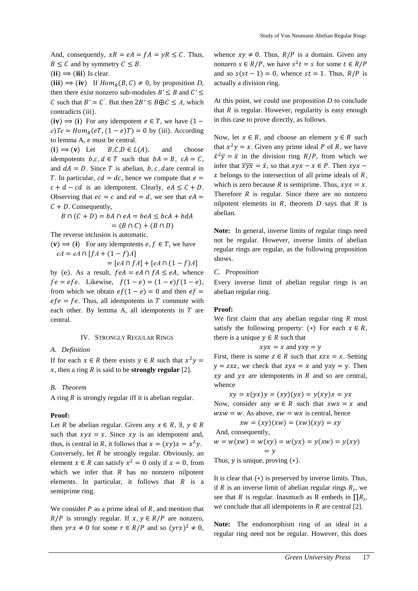And, consequently,  $xR = eA = fA = yR \le C$ . Thus,  $B \leq C$  and by symmetry  $C \leq B$ .

 $(ii) \Rightarrow (iii)$  Is clear.

(iii)  $\Rightarrow$  (iv) If  $Hom_R(B, C) \neq 0$ , by proposition *D*, then there exist nonzero sub-modules  $B' \leq B$  and  $C' \leq$ *C* such that *B'* ≃ *C'*. But then  $2B' \le B \oplus C \le A$ , which contradicts (iii).

(iv)  $\Rightarrow$  (i) For any idempotent  $e \in T$ , we have (1 –  $e)Te \simeq Hom_R(eT, (1 - e)T) = 0$  by (iii). According to lemma  $A$ ,  $e$  must be central.

 $(i) \implies (v)$  Let  $B, C, D \in L(A)$ , and choose idempotents  $b, c, d \in T$  such that  $bA = B$ ,  $cA = C$ , and  $dA = D$ . Since T is abelian, *b*, *c*, *dare central in* T. In particular,  $cd = dc$ , hence we compute that  $e =$  $c + d - cd$  is an idempotent. Clearly,  $eA \leq C + D$ . Observing that  $ec = c$  and  $ed = d$ , we see that  $eA =$  $C + D$ . Consequently,

$$
B \cap (C + D) = bA \cap eA = beA \le bcA + bdA
$$

$$
= (B \cap C) + (B \cap D)
$$

The reverse inclusion is automatic.

 $(v) \implies (i)$  For any idempotents *e*,  $f \in T$ , we have  $eA = eA \cap [fA + (1 - f)A]$ 

$$
= [eA \cap fA] + [eA \cap (1 - f)A]
$$

by (e). As a result,  $f e A = e A \cap f A \leq e A$ , whence  $fe = efe$ . Likewise,  $f(1 - e) = (1 - e)f(1 - e)$ , from which we obtain  $ef(1 - e) = 0$  and then  $ef =$  $efe = fe$ . Thus, all idempotents in T commute with each other. By lemma A, all idempotents in  $T$  are central.

#### IV. STRONGLY REGULAR RINGS

# *A. Definition*

If for each  $x \in R$  there exists  $y \in R$  such that  $x^2y =$  $x$ , then a ring  $R$  is said to be **strongly regular** [2].

#### *B. Theorem*

A ring  $R$  is strongly regular iff it is abelian regular.

## **Proof:**

Let *R* be abelian regular. Given any  $x \in R$ ,  $\exists$ ,  $y \in R$ such that  $xyx = x$ . Since  $xy$  is an idempotent and, thus, is central in R, it follows that  $x = (xy)x = x^2y$ . Conversely, let  $R$  be strongly regular. Obviously, an element  $x \in R$  can satisfy  $x^2 = 0$  only if  $x = 0$ , from which we infer that  $R$  has no nonzero nilpotent elements. In particular, it follows that  $R$  is a semiprime ring.

We consider  $P$  as a prime ideal of  $R$ , and mention that  $R/P$  is strongly regular. If  $x, y \in R/P$  are nonzero, then  $\gamma rx \neq 0$  for some  $r \in R/P$  and so  $(\gamma rx)^2 \neq 0$ , whence  $xy \neq 0$ . Thus,  $R/P$  is a domain. Given any nonzero  $s \in R/P$ , we have  $s^2 t = s$  for some  $t \in R/P$ and so  $s(st-1) = 0$ , whence  $st = 1$ . Thus,  $R/P$  is actually a division ring.

At this point, we could use proposition *D* to conclude that  $R$  is regular. However, regularity is easy enough in this case to prove directly, as follows.

Now, let  $x \in R$ , and choose an element  $y \in R$  such that  $x^2y = x$ . Given any prime ideal P of R, we have  $\bar{x}^2 \bar{y} = \bar{x}$  in the division ring  $R/P$ , from which we infer that  $\overline{xyx} = \overline{x}$ , so that  $xyx - x \in P$ . Then  $xyx - y = 0$ .  $x$  belongs to the intersection of all prime ideals of  $R$ , which is zero because R is semiprime. Thus,  $xyx = x$ . Therefore  $R$  is regular. Since there are no nonzero nilpotent elements in  $R$ , theorem  $D$  says that  $R$  is abelian.

**Note:** In general, inverse limits of regular rings need not be regular. However, inverse limits of abelian regular rings are regular, as the following proposition shows.

# *C. Proposition*

Every inverse limit of abelian regular rings is an abelian regular ring.

## **Proof:**

We first claim that any abelian regular ring  *must* satisfy the following property: (\*) For each  $x \in R$ , there is a unique  $y \in R$  such that

$$
xyx = x
$$
 and  $yxy = y$ 

First, there is some  $z \in R$  such that  $xzx = x$ . Setting  $y = zxz$ , we check that  $xyx = x$  and  $yxy = y$ . Then  $xy$  and  $yx$  are idempotents in  $R$  and so are central, whence

$$
xy = x(yx)y = (xy)(yx) = y(xy)x = yx
$$

Now, consider any  $w \in R$  such that  $xwx = x$  and  $wxw = w$ . As above,  $xw = wx$  is central, hence

$$
xw = (xy)(xw) = (xw)(xy) = xy
$$
  
And, consequently,  

$$
w = w(xw) = w(xy) = w(yx) = y(xw) = y(xy)
$$

$$
= v
$$

Thus,  $y$  is unique, proving  $(*)$ .

It is clear that (∗) is preserved by inverse limits. Thus, if  $R$  is an inverse limit of abelian regular rings  $R_i$ , we see that *R* is regular. Inasmuch as R embeds in  $\prod R_i$ , we conclude that all idempotents in  $R$  are central [2].

**Note:** The endomorphism ring of an ideal in a regular ring need not be regular. However, this does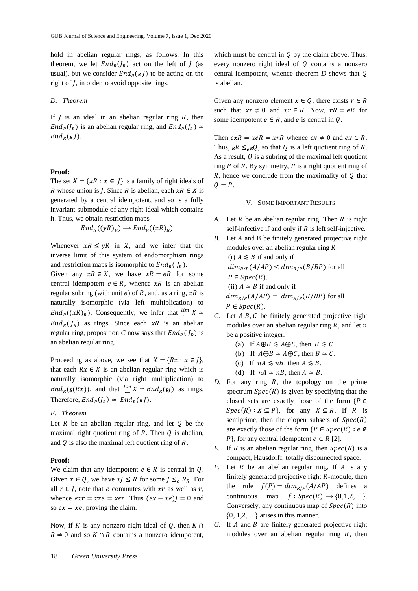hold in abelian regular rings, as follows. In this theorem, we let  $End_R(J_R)$  act on the left of  $J$  (as usual), but we consider  $End_R$ ( $R$ ) to be acting on the right of *, in order to avoid opposite rings.* 

#### *D. Theorem*

If  *is an ideal in an abelian regular ring*  $*R*$ *, then*  $End_R(J_R)$  is an abelian regular ring, and  $End_R(J_R) \simeq$  $End_R(R)$ .

# **Proof:**

The set  $X = \{xR : x \in I\}$  is a family of right ideals of R whose union is *J*. Since R is abelian, each  $xR \in X$  is generated by a central idempotent, and so is a fully invariant submodule of any right ideal which contains it. Thus, we obtain restriction maps

$$
End_R((yR)_R) \longrightarrow End_R((xR)_R)
$$

Whenever  $xR \leq yR$  in X, and we infer that the inverse limit of this system of endomorphism rings and restriction maps is isomorphic to  $End_R(J_R)$ .

Given any  $xR \in X$ , we have  $xR = eR$  for some central idempotent  $e \in R$ , whence  $xR$  is an abelian regular subring (with unit e) of R, and, as a ring,  $xR$  is naturally isomorphic (via left multiplication) to  $End_R((xR)_R)$ . Consequently, we infer that  $\lim_{\leftarrow} X \simeq$  $End_R(J_R)$  as rings. Since each  $xR$  is an abelian regular ring, proposition *C* now says that  $End_R(J_R)$  is an abelian regular ring.

Proceeding as above, we see that  $X = \{Rx : x \in I\},\$ that each  $Rx \in X$  is an abelian regular ring which is naturally isomorphic (via right multiplication) to  $End_R(\kappa(Rx))$ , and that  $\stackrel{lim}{\leftarrow} X \simeq End_R(\kappa I)$  as rings. Therefore,  $End_R(J_R) \simeq End_R(\kappa J)$ .

## *E. Theorem*

Let  $R$  be an abelian regular ring, and let  $Q$  be the maximal right quotient ring of  $R$ . Then  $Q$  is abelian, and  $Q$  is also the maximal left quotient ring of  $R$ .

#### **Proof:**

We claim that any idempotent  $e \in R$  is central in  $Q$ . Given  $x \in Q$ , we have  $x \leq R$  for some  $J \leq_e R_R$ . For all  $r \in J$ , note that *e* commutes with xr as well as r, whence  $exr = xre = xer$ . Thus  $(ex - xe)J = 0$  and so  $ex = xe$ , proving the claim.

Now, if K is any nonzero right ideal of  $Q$ , then  $K \cap$  $R \neq 0$  and so  $K \cap R$  contains a nonzero idempotent,

which must be central in  $\hat{Q}$  by the claim above. Thus, every nonzero right ideal of  $Q$  contains a nonzero central idempotent, whence theorem  $D$  shows that  $Q$ is abelian.

Given any nonzero element  $x \in Q$ , there exists  $r \in R$ such that  $xr \neq 0$  and  $xr \in R$ . Now,  $rR = eR$  for some idempotent  $e \in R$ , and  $e$  is central in  $Q$ .

Then  $exR = xeR = xrR$  whence  $ex \neq 0$  and  $ex \in R$ . Thus,  $_R R \leq_{\rho} RQ$ , so that Q is a left quotient ring of R. As a result,  $Q$  is a subring of the maximal left quotient ring  $P$  of  $R$ . By symmetry,  $P$  is a right quotient ring of  $R$ , hence we conclude from the maximality of  $Q$  that  $Q = P$ .

# V. SOME IMPORTANT RESULTS

- *A.* Let  $R$  be an abelian regular ring. Then  $R$  is right self-infective if and only if  $R$  is left self-injective.
- *B.* Let *A* and *B* be finitely generated projective right modules over an abelian regular ring *.* (i)  $A \leq B$  if and only if  $dim_{R/P}(A/AP) \leq dim_{R/P}(B/BP)$  for all  $P \in Spec(R)$ . (ii)  $A \simeq B$  if and only if  $dim_{R/P}(A/AP) = dim_{R/P}(B/BP)$  for all  $P \in Spec(R)$ .
- *C.* Let *A,B, C* be finitely generated projective right modules over an abelian regular ring  $R$ , and let  $n$ be a positive integer.
	- (a) If  $A \oplus B \leq A \oplus C$ , then  $B \leq C$ .
	- (b) If  $A \oplus B \simeq A \oplus C$ , then  $B \simeq C$ .
	- (c) If  $nA \le nB$ , then  $A \le B$ .
	- (d) If  $nA \simeq nB$ , then  $A \simeq B$ .
- *D.* For any ring  $R$ , the topology on the prime spectrum  $Spec(R)$  is given by specifying that the closed sets are exactly those of the form  $\{P \in$  $Spec(R): X \subseteq P$ , for any  $X \subseteq R$ . If R is semiprime, then the clopen subsets of  $Spec(R)$ are exactly those of the form  $\{P \in Spec(R) : e \notin \mathbb{C}\}$  $P$ , for any central idempotent  $e \in R$  [2].
- *E.* If *R* is an abelian regular ring, then  $Spec(R)$  is a compact, Hausdorff, totally disconnected space.
- *F.* Let  $R$  be an abelian regular ring. If  $A$  is any finitely generated projective right  $R$ -module, then the rule  $f(P) = dim_{R/P}(A/AP)$  defines a continuous map  $f : Spec(R) \rightarrow \{0, 1, 2, \ldots\}.$ Conversely, any continuous map of  $Spec(R)$  into {0*,* 1*,*2*,*. . .} arises in this manner.
- *G.* If *A* and *B* are finitely generated projective right modules over an abelian regular ring  $R$ , then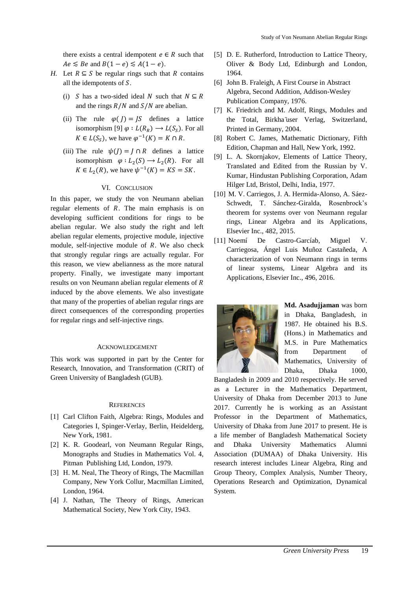there exists a central idempotent  $e \in R$  such that  $Ae \leq Be$  and  $B(1-e) \leq A(1-e)$ .

- *H.* Let  $R \subseteq S$  be regular rings such that R contains all the idempotents of  $S$ .
	- (i) *S* has a two-sided ideal *N* such that  $N \subseteq R$ and the rings  $R/N$  and  $S/N$  are abelian.
	- (ii) The rule  $\varphi$   $(I) = IS$  defines a lattice isomorphism [9]  $\varphi : L(R_R) \longrightarrow L(S_S)$ . For all  $K \in L(S_S)$ , we have  $\varphi^{-1}(K) = K \cap R$ .
	- (iii) The rule  $\psi(I) = I \cap R$  defines a lattice isomorphism  $\varphi: L_2(S) \to L_2(R)$ . For all  $K \in L_2(R)$ , we have  $\psi^{-1}(K) = KS = SK$ .

# VI. CONCLUSION

In this paper, we study the von Neumann abelian regular elements of  $R$ . The main emphasis is on developing sufficient conditions for rings to be abelian regular. We also study the right and left abelian regular elements, projective module, injective module, self-injective module of  $R$ . We also check that strongly regular rings are actually regular. For this reason, we view abelianness as the more natural property. Finally, we investigate many important results on von Neumann abelian regular elements of R induced by the above elements. We also investigate that many of the properties of abelian regular rings are direct consequences of the corresponding properties for regular rings and self-injective rings.

## ACKNOWLEDGEMENT

This work was supported in part by the Center for Research, Innovation, and Transformation (CRIT) of Green University of Bangladesh (GUB).

## **REFERENCES**

- [1] Carl Clifton Faith, Algebra: Rings, Modules and Categories I, Spinger-Verlay, Berlin, Heidelderg, New York, 1981.
- [2] K. R. Goodearl, von Neumann Regular Rings, Monographs and Studies in Mathematics Vol. 4, Pitman Publishing Ltd, London, 1979.
- [3] H. M. Neal, The Theory of Rings, The Macmillan Company, New York Collur, Macmillan Limited, London, 1964.
- [4] J. Nathan, The Theory of Rings, American Mathematical Society, New York City, 1943.
- [5] D. E. Rutherford, Introduction to Lattice Theory, Oliver & Body Ltd, Edinburgh and London, 1964.
- [6] John B. Fraleigh, A First Course in Abstract Algebra, Second Addition, Addison-Wesley Publication Company, 1976.
- [7] K. Friedrich and M. Adolf, Rings, Modules and the Total, Birkha ̈user Verlag, Switzerland, Printed in Germany, 2004.
- [8] Robert C. James, Mathematic Dictionary, Fifth Edition, Chapman and Hall, New York, 1992.
- [9] L. A. Skornjakov, Elements of Lattice Theory, Translated and Edited from the Russian by V. Kumar, Hindustan Publishing Corporation, Adam Hilger Ltd, Bristol, Delhi, India, 1977.
- [10] M. V. Carriegos, J. A. Hermida-Alonso, A. Sáez-Schwedt, T. Sánchez-Giralda, Rosenbrock's theorem for systems over von Neumann regular rings, Linear Algebra and its Applications, Elsevier Inc., 482, 2015.
- [11] Noemí De Castro-Garcíab, Miguel V. Carriegosa, Ángel Luis Muñoz Castañeda, A characterization of von Neumann rings in terms of linear systems, Linear Algebra and its Applications, Elsevier Inc., 496, 2016.



**Md. Asadujjaman** was born in Dhaka, Bangladesh, in 1987. He obtained his B.S. (Hons.) in Mathematics and M.S. in Pure Mathematics from Department of Mathematics, University of Dhaka, Dhaka 1000,

Bangladesh in 2009 and 2010 respectively. He served as a Lecturer in the Mathematics Department, University of Dhaka from December 2013 to June 2017. Currently he is working as an Assistant Professor in the Department of Mathematics, University of Dhaka from June 2017 to present. He is a life member of Bangladesh Mathematical Society and Dhaka University Mathematics Alumni Association (DUMAA) of Dhaka University. His research interest includes Linear Algebra, Ring and Group Theory, Complex Analysis, Number Theory, Operations Research and Optimization, Dynamical System.